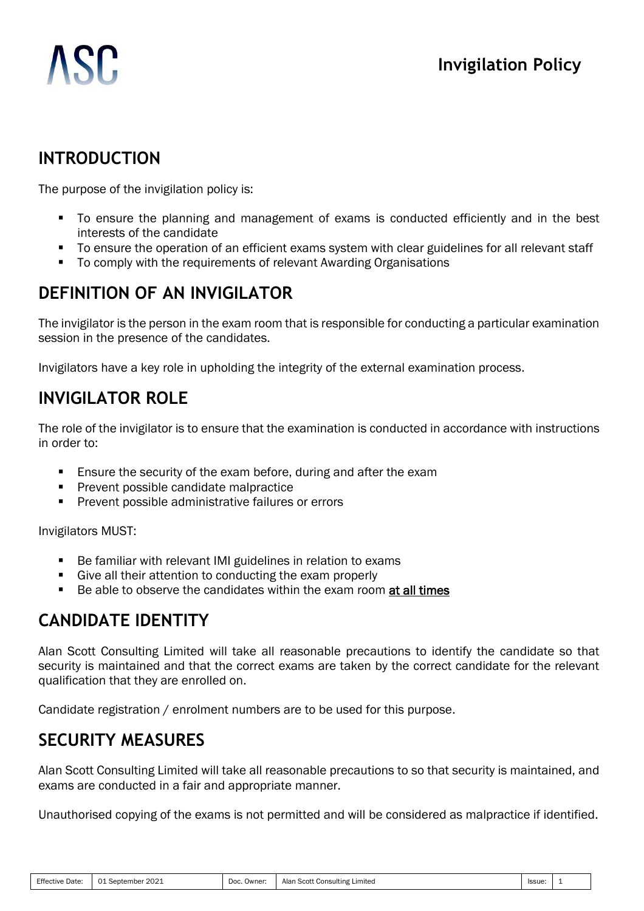# **ASC**

# **INTRODUCTION**

The purpose of the invigilation policy is:

- To ensure the planning and management of exams is conducted efficiently and in the best interests of the candidate
- To ensure the operation of an efficient exams system with clear guidelines for all relevant staff
- To comply with the requirements of relevant Awarding Organisations

# **DEFINITION OF AN INVIGILATOR**

The invigilator is the person in the exam room that is responsible for conducting a particular examination session in the presence of the candidates.

Invigilators have a key role in upholding the integrity of the external examination process.

# **INVIGILATOR ROLE**

The role of the invigilator is to ensure that the examination is conducted in accordance with instructions in order to:

- Ensure the security of the exam before, during and after the exam
- Prevent possible candidate malpractice
- **Prevent possible administrative failures or errors**

Invigilators MUST:

- Be familiar with relevant IMI guidelines in relation to exams
- Give all their attention to conducting the exam properly
- Be able to observe the candidates within the exam room at all times

# **CANDIDATE IDENTITY**

Alan Scott Consulting Limited will take all reasonable precautions to identify the candidate so that security is maintained and that the correct exams are taken by the correct candidate for the relevant qualification that they are enrolled on.

Candidate registration / enrolment numbers are to be used for this purpose.

## **SECURITY MEASURES**

Alan Scott Consulting Limited will take all reasonable precautions to so that security is maintained, and exams are conducted in a fair and appropriate manner.

Unauthorised copying of the exams is not permitted and will be considered as malpractice if identified.

| Effective<br>Date | $\sim$<br>September<br>WZ.<br>$\cdots$ | Doc.<br>Owner | Alan<br>Scott<br>Limited<br>. Consulting | Issue. |  |
|-------------------|----------------------------------------|---------------|------------------------------------------|--------|--|
|-------------------|----------------------------------------|---------------|------------------------------------------|--------|--|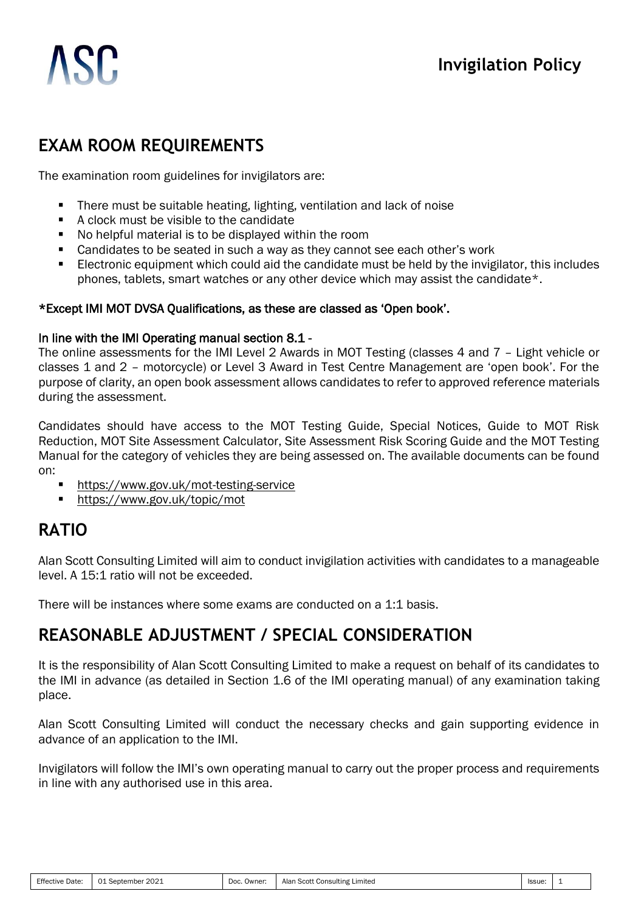

# **EXAM ROOM REQUIREMENTS**

The examination room guidelines for invigilators are:

- There must be suitable heating, lighting, ventilation and lack of noise
- A clock must be visible to the candidate
- No helpful material is to be displayed within the room
- Candidates to be seated in such a way as they cannot see each other's work
- Electronic equipment which could aid the candidate must be held by the invigilator, this includes phones, tablets, smart watches or any other device which may assist the candidate\*.

#### \*Except IMI MOT DVSA Qualifications, as these are classed as 'Open book'.

#### In line with the IMI Operating manual section 8.1 -

The online assessments for the IMI Level 2 Awards in MOT Testing (classes 4 and 7 – Light vehicle or classes 1 and 2 – motorcycle) or Level 3 Award in Test Centre Management are 'open book'. For the purpose of clarity, an open book assessment allows candidates to refer to approved reference materials during the assessment.

Candidates should have access to the MOT Testing Guide, Special Notices, Guide to MOT Risk Reduction, MOT Site Assessment Calculator, Site Assessment Risk Scoring Guide and the MOT Testing Manual for the category of vehicles they are being assessed on. The available documents can be found on:

- <https://www.gov.uk/mot-testing-service>
- <https://www.gov.uk/topic/mot>

## **RATIO**

Alan Scott Consulting Limited will aim to conduct invigilation activities with candidates to a manageable level. A 15:1 ratio will not be exceeded.

There will be instances where some exams are conducted on a 1:1 basis.

## **REASONABLE ADJUSTMENT / SPECIAL CONSIDERATION**

It is the responsibility of Alan Scott Consulting Limited to make a request on behalf of its candidates to the IMI in advance (as detailed in Section 1.6 of the IMI operating manual) of any examination taking place.

Alan Scott Consulting Limited will conduct the necessary checks and gain supporting evidence in advance of an application to the IMI.

Invigilators will follow the IMI's own operating manual to carry out the proper process and requirements in line with any authorised use in this area.

| Effective<br>Date | 2021<br>$\sim$<br>September | Doc.<br>Owner | $S_{\cap}$<br>Alan<br>Consulting<br>, ∟ımıted<br>$\mathcal{L}$ | <b>Issue</b> |  |
|-------------------|-----------------------------|---------------|----------------------------------------------------------------|--------------|--|
|-------------------|-----------------------------|---------------|----------------------------------------------------------------|--------------|--|